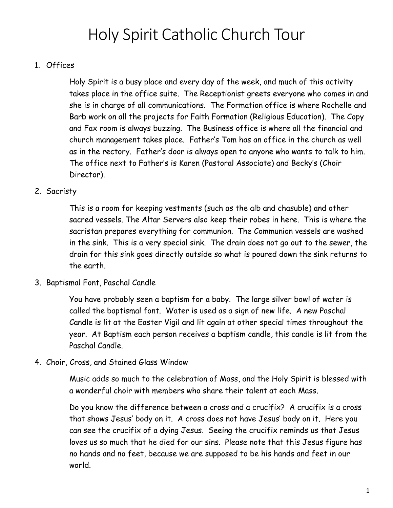# Holy Spirit Catholic Church Tour

# 1. Offices

Holy Spirit is a busy place and every day of the week, and much of this activity takes place in the office suite. The Receptionist greets everyone who comes in and she is in charge of all communications. The Formation office is where Rochelle and Barb work on all the projects for Faith Formation (Religious Education). The Copy and Fax room is always buzzing. The Business office is where all the financial and church management takes place. Father's Tom has an office in the church as well as in the rectory. Father's door is always open to anyone who wants to talk to him. The office next to Father's is Karen (Pastoral Associate) and Becky's (Choir Director).

## 2. Sacristy

This is a room for keeping vestments (such as the alb and chasuble) and other sacred vessels. The Altar Servers also keep their robes in here. This is where the sacristan prepares everything for communion. The Communion vessels are washed in the sink. This is a very special sink. The drain does not go out to the sewer, the drain for this sink goes directly outside so what is poured down the sink returns to the earth.

3. Baptismal Font, Paschal Candle

You have probably seen a baptism for a baby. The large silver bowl of water is called the baptismal font. Water is used as a sign of new life. A new Paschal Candle is lit at the Easter Vigil and lit again at other special times throughout the year. At Baptism each person receives a baptism candle, this candle is lit from the Paschal Candle.

4. Choir, Cross, and Stained Glass Window

Music adds so much to the celebration of Mass, and the Holy Spirit is blessed with a wonderful choir with members who share their talent at each Mass.

Do you know the difference between a cross and a crucifix? A crucifix is a cross that shows Jesus' body on it. A cross does not have Jesus' body on it. Here you can see the crucifix of a dying Jesus. Seeing the crucifix reminds us that Jesus loves us so much that he died for our sins. Please note that this Jesus figure has no hands and no feet, because we are supposed to be his hands and feet in our world.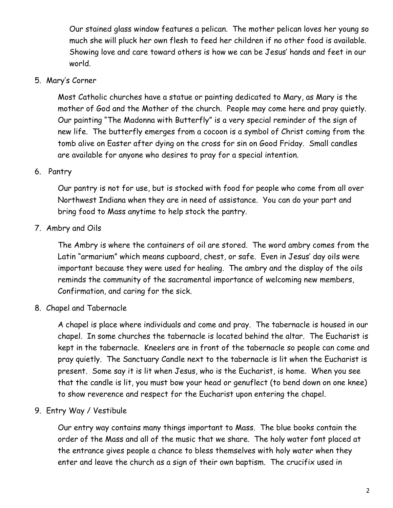Our stained glass window features a pelican. The mother pelican loves her young so much she will pluck her own flesh to feed her children if no other food is available. Showing love and care toward others is how we can be Jesus' hands and feet in our world.

#### 5. Mary's Corner

Most Catholic churches have a statue or painting dedicated to Mary, as Mary is the mother of God and the Mother of the church. People may come here and pray quietly. Our painting "The Madonna with Butterfly" is a very special reminder of the sign of new life. The butterfly emerges from a cocoon is a symbol of Christ coming from the tomb alive on Easter after dying on the cross for sin on Good Friday. Small candles are available for anyone who desires to pray for a special intention.

#### 6. Pantry

Our pantry is not for use, but is stocked with food for people who come from all over Northwest Indiana when they are in need of assistance. You can do your part and bring food to Mass anytime to help stock the pantry.

## 7. Ambry and Oils

The Ambry is where the containers of oil are stored. The word ambry comes from the Latin "armarium" which means cupboard, chest, or safe. Even in Jesus' day oils were important because they were used for healing. The ambry and the display of the oils reminds the community of the sacramental importance of welcoming new members, Confirmation, and caring for the sick.

#### 8. Chapel and Tabernacle

A chapel is place where individuals and come and pray. The tabernacle is housed in our chapel. In some churches the tabernacle is located behind the altar. The Eucharist is kept in the tabernacle. Kneelers are in front of the tabernacle so people can come and pray quietly. The Sanctuary Candle next to the tabernacle is lit when the Eucharist is present. Some say it is lit when Jesus, who is the Eucharist, is home. When you see that the candle is lit, you must bow your head or genuflect (to bend down on one knee) to show reverence and respect for the Eucharist upon entering the chapel.

#### 9. Entry Way / Vestibule

Our entry way contains many things important to Mass. The blue books contain the order of the Mass and all of the music that we share. The holy water font placed at the entrance gives people a chance to bless themselves with holy water when they enter and leave the church as a sign of their own baptism. The crucifix used in